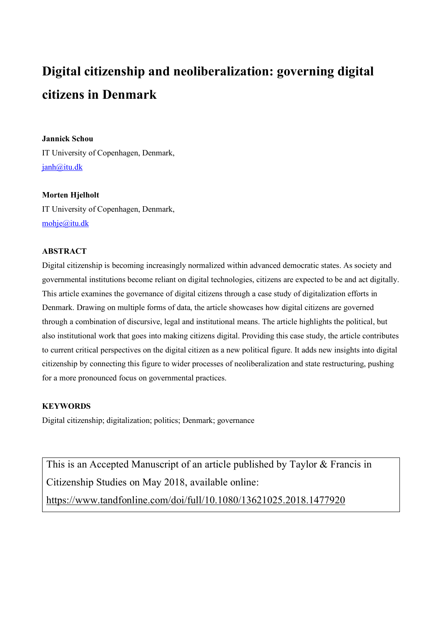# **Digital citizenship and neoliberalization: governing digital citizens in Denmark**

# **Jannick Schou**

IT University of Copenhagen, Denmark, janh@itu.dk

# **Morten Hjelholt**

IT University of Copenhagen, Denmark, mohje@itu.dk

# **ABSTRACT**

Digital citizenship is becoming increasingly normalized within advanced democratic states. As society and governmental institutions become reliant on digital technologies, citizens are expected to be and act digitally. This article examines the governance of digital citizens through a case study of digitalization efforts in Denmark. Drawing on multiple forms of data, the article showcases how digital citizens are governed through a combination of discursive, legal and institutional means. The article highlights the political, but also institutional work that goes into making citizens digital. Providing this case study, the article contributes to current critical perspectives on the digital citizen as a new political figure. It adds new insights into digital citizenship by connecting this figure to wider processes of neoliberalization and state restructuring, pushing for a more pronounced focus on governmental practices.

# **KEYWORDS**

Digital citizenship; digitalization; politics; Denmark; governance

This is an Accepted Manuscript of an article published by Taylor & Francis in Citizenship Studies on May 2018, available online:

https://www.tandfonline.com/doi/full/10.1080/13621025.2018.1477920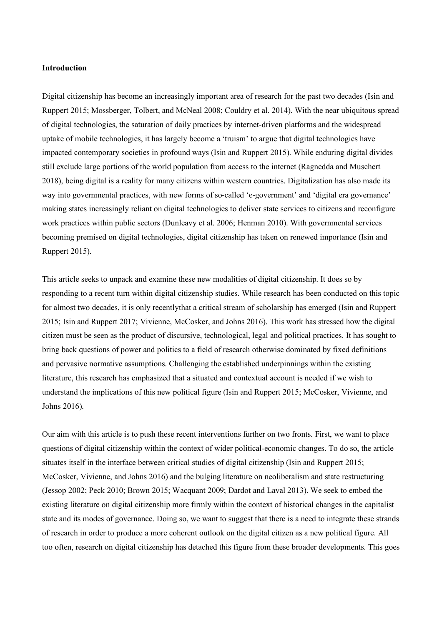## **Introduction**

Digital citizenship has become an increasingly important area of research for the past two decades (Isin and Ruppert 2015; Mossberger, Tolbert, and McNeal 2008; Couldry et al. 2014). With the near ubiquitous spread of digital technologies, the saturation of daily practices by internet-driven platforms and the widespread uptake of mobile technologies, it has largely become a 'truism' to argue that digital technologies have impacted contemporary societies in profound ways (Isin and Ruppert 2015). While enduring digital divides still exclude large portions of the world population from access to the internet (Ragnedda and Muschert 2018), being digital is a reality for many citizens within western countries. Digitalization has also made its way into governmental practices, with new forms of so-called 'e-government' and 'digital era governance' making states increasingly reliant on digital technologies to deliver state services to citizens and reconfigure work practices within public sectors (Dunleavy et al. 2006; Henman 2010). With governmental services becoming premised on digital technologies, digital citizenship has taken on renewed importance (Isin and Ruppert 2015).

This article seeks to unpack and examine these new modalities of digital citizenship. It does so by responding to a recent turn within digital citizenship studies. While research has been conducted on this topic for almost two decades, it is only recentlythat a critical stream of scholarship has emerged (Isin and Ruppert 2015; Isin and Ruppert 2017; Vivienne, McCosker, and Johns 2016). This work has stressed how the digital citizen must be seen as the product of discursive, technological, legal and political practices. It has sought to bring back questions of power and politics to a field of research otherwise dominated by fixed definitions and pervasive normative assumptions. Challenging the established underpinnings within the existing literature, this research has emphasized that a situated and contextual account is needed if we wish to understand the implications of this new political figure (Isin and Ruppert 2015; McCosker, Vivienne, and Johns 2016).

Our aim with this article is to push these recent interventions further on two fronts. First, we want to place questions of digital citizenship within the context of wider political-economic changes. To do so, the article situates itself in the interface between critical studies of digital citizenship (Isin and Ruppert 2015; McCosker, Vivienne, and Johns 2016) and the bulging literature on neoliberalism and state restructuring (Jessop 2002; Peck 2010; Brown 2015; Wacquant 2009; Dardot and Laval 2013). We seek to embed the existing literature on digital citizenship more firmly within the context of historical changes in the capitalist state and its modes of governance. Doing so, we want to suggest that there is a need to integrate these strands of research in order to produce a more coherent outlook on the digital citizen as a new political figure. All too often, research on digital citizenship has detached this figure from these broader developments. This goes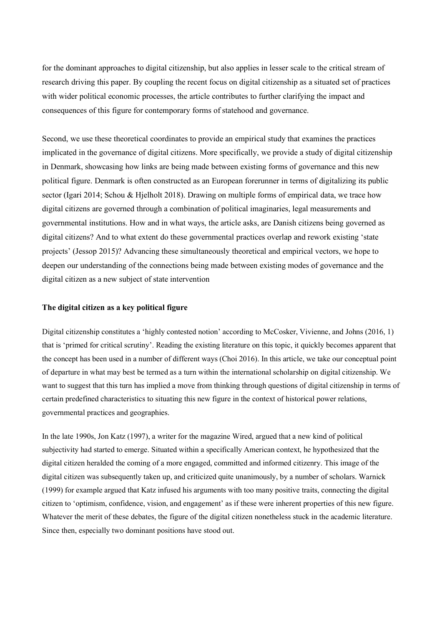for the dominant approaches to digital citizenship, but also applies in lesser scale to the critical stream of research driving this paper. By coupling the recent focus on digital citizenship as a situated set of practices with wider political economic processes, the article contributes to further clarifying the impact and consequences of this figure for contemporary forms of statehood and governance.

Second, we use these theoretical coordinates to provide an empirical study that examines the practices implicated in the governance of digital citizens. More specifically, we provide a study of digital citizenship in Denmark, showcasing how links are being made between existing forms of governance and this new political figure. Denmark is often constructed as an European forerunner in terms of digitalizing its public sector (Igari 2014; Schou & Hjelholt 2018). Drawing on multiple forms of empirical data, we trace how digital citizens are governed through a combination of political imaginaries, legal measurements and governmental institutions. How and in what ways, the article asks, are Danish citizens being governed as digital citizens? And to what extent do these governmental practices overlap and rework existing 'state projects' (Jessop 2015)? Advancing these simultaneously theoretical and empirical vectors, we hope to deepen our understanding of the connections being made between existing modes of governance and the digital citizen as a new subject of state intervention

# **The digital citizen as a key political figure**

Digital citizenship constitutes a 'highly contested notion' according to McCosker, Vivienne, and Johns (2016, 1) that is 'primed for critical scrutiny'. Reading the existing literature on this topic, it quickly becomes apparent that the concept has been used in a number of different ways (Choi 2016). In this article, we take our conceptual point of departure in what may best be termed as a turn within the international scholarship on digital citizenship. We want to suggest that this turn has implied a move from thinking through questions of digital citizenship in terms of certain predefined characteristics to situating this new figure in the context of historical power relations, governmental practices and geographies.

In the late 1990s, Jon Katz (1997), a writer for the magazine Wired, argued that a new kind of political subjectivity had started to emerge. Situated within a specifically American context, he hypothesized that the digital citizen heralded the coming of a more engaged, committed and informed citizenry. This image of the digital citizen was subsequently taken up, and criticized quite unanimously, by a number of scholars. Warnick (1999) for example argued that Katz infused his arguments with too many positive traits, connecting the digital citizen to 'optimism, confidence, vision, and engagement' as if these were inherent properties of this new figure. Whatever the merit of these debates, the figure of the digital citizen nonetheless stuck in the academic literature. Since then, especially two dominant positions have stood out.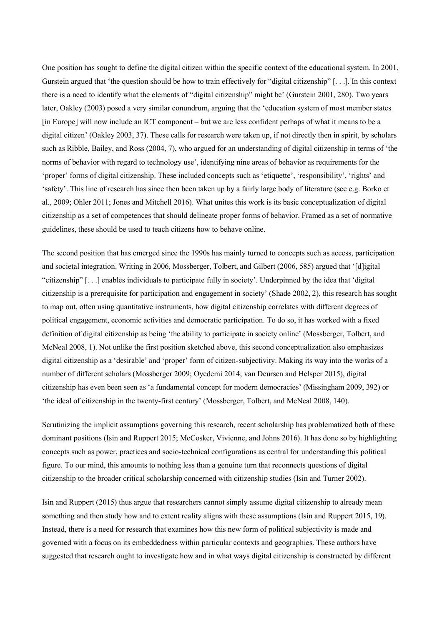One position has sought to define the digital citizen within the specific context of the educational system. In 2001, Gurstein argued that 'the question should be how to train effectively for "digital citizenship" [. . .]. In this context there is a need to identify what the elements of "digital citizenship" might be' (Gurstein 2001, 280). Two years later, Oakley (2003) posed a very similar conundrum, arguing that the 'education system of most member states [in Europe] will now include an ICT component – but we are less confident perhaps of what it means to be a digital citizen' (Oakley 2003, 37). These calls for research were taken up, if not directly then in spirit, by scholars such as Ribble, Bailey, and Ross (2004, 7), who argued for an understanding of digital citizenship in terms of 'the norms of behavior with regard to technology use', identifying nine areas of behavior as requirements for the 'proper' forms of digital citizenship. These included concepts such as 'etiquette', 'responsibility', 'rights' and 'safety'. This line of research has since then been taken up by a fairly large body of literature (see e.g. Borko et al., 2009; Ohler 2011; Jones and Mitchell 2016). What unites this work is its basic conceptualization of digital citizenship as a set of competences that should delineate proper forms of behavior. Framed as a set of normative guidelines, these should be used to teach citizens how to behave online.

The second position that has emerged since the 1990s has mainly turned to concepts such as access, participation and societal integration. Writing in 2006, Mossberger, Tolbert, and Gilbert (2006, 585) argued that '[d]igital "citizenship" [. . .] enables individuals to participate fully in society'. Underpinned by the idea that 'digital citizenship is a prerequisite for participation and engagement in society' (Shade 2002, 2), this research has sought to map out, often using quantitative instruments, how digital citizenship correlates with different degrees of political engagement, economic activities and democratic participation. To do so, it has worked with a fixed definition of digital citizenship as being 'the ability to participate in society online' (Mossberger, Tolbert, and McNeal 2008, 1). Not unlike the first position sketched above, this second conceptualization also emphasizes digital citizenship as a 'desirable' and 'proper' form of citizen-subjectivity. Making its way into the works of a number of different scholars (Mossberger 2009; Oyedemi 2014; van Deursen and Helsper 2015), digital citizenship has even been seen as 'a fundamental concept for modern democracies' (Missingham 2009, 392) or 'the ideal of citizenship in the twenty-first century' (Mossberger, Tolbert, and McNeal 2008, 140).

Scrutinizing the implicit assumptions governing this research, recent scholarship has problematized both of these dominant positions (Isin and Ruppert 2015; McCosker, Vivienne, and Johns 2016). It has done so by highlighting concepts such as power, practices and socio-technical configurations as central for understanding this political figure. To our mind, this amounts to nothing less than a genuine turn that reconnects questions of digital citizenship to the broader critical scholarship concerned with citizenship studies (Isin and Turner 2002).

Isin and Ruppert (2015) thus argue that researchers cannot simply assume digital citizenship to already mean something and then study how and to extent reality aligns with these assumptions (Isin and Ruppert 2015, 19). Instead, there is a need for research that examines how this new form of political subjectivity is made and governed with a focus on its embeddedness within particular contexts and geographies. These authors have suggested that research ought to investigate how and in what ways digital citizenship is constructed by different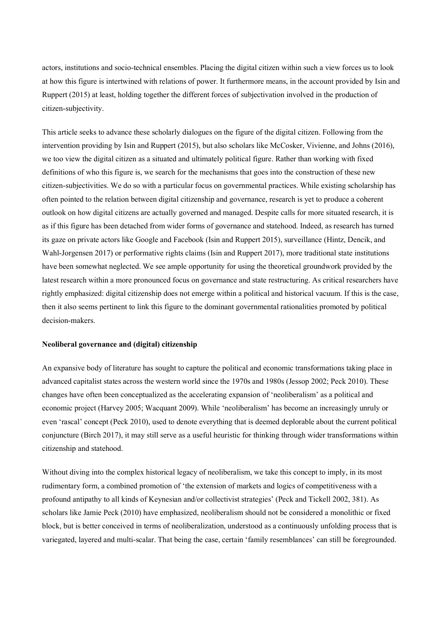actors, institutions and socio-technical ensembles. Placing the digital citizen within such a view forces us to look at how this figure is intertwined with relations of power. It furthermore means, in the account provided by Isin and Ruppert (2015) at least, holding together the different forces of subjectivation involved in the production of citizen-subjectivity.

This article seeks to advance these scholarly dialogues on the figure of the digital citizen. Following from the intervention providing by Isin and Ruppert (2015), but also scholars like McCosker, Vivienne, and Johns (2016), we too view the digital citizen as a situated and ultimately political figure. Rather than working with fixed definitions of who this figure is, we search for the mechanisms that goes into the construction of these new citizen-subjectivities. We do so with a particular focus on governmental practices. While existing scholarship has often pointed to the relation between digital citizenship and governance, research is yet to produce a coherent outlook on how digital citizens are actually governed and managed. Despite calls for more situated research, it is as if this figure has been detached from wider forms of governance and statehood. Indeed, as research has turned its gaze on private actors like Google and Facebook (Isin and Ruppert 2015), surveillance (Hintz, Dencik, and Wahl-Jorgensen 2017) or performative rights claims (Isin and Ruppert 2017), more traditional state institutions have been somewhat neglected. We see ample opportunity for using the theoretical groundwork provided by the latest research within a more pronounced focus on governance and state restructuring. As critical researchers have rightly emphasized: digital citizenship does not emerge within a political and historical vacuum. If this is the case, then it also seems pertinent to link this figure to the dominant governmental rationalities promoted by political decision-makers.

## **Neoliberal governance and (digital) citizenship**

An expansive body of literature has sought to capture the political and economic transformations taking place in advanced capitalist states across the western world since the 1970s and 1980s (Jessop 2002; Peck 2010). These changes have often been conceptualized as the accelerating expansion of 'neoliberalism' as a political and economic project (Harvey 2005; Wacquant 2009). While 'neoliberalism' has become an increasingly unruly or even 'rascal' concept (Peck 2010), used to denote everything that is deemed deplorable about the current political conjuncture (Birch 2017), it may still serve as a useful heuristic for thinking through wider transformations within citizenship and statehood.

Without diving into the complex historical legacy of neoliberalism, we take this concept to imply, in its most rudimentary form, a combined promotion of 'the extension of markets and logics of competitiveness with a profound antipathy to all kinds of Keynesian and/or collectivist strategies' (Peck and Tickell 2002, 381). As scholars like Jamie Peck (2010) have emphasized, neoliberalism should not be considered a monolithic or fixed block, but is better conceived in terms of neoliberalization, understood as a continuously unfolding process that is variegated, layered and multi-scalar. That being the case, certain 'family resemblances' can still be foregrounded.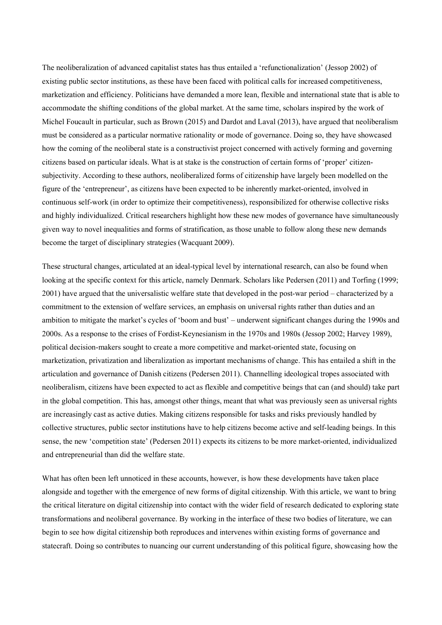The neoliberalization of advanced capitalist states has thus entailed a 'refunctionalization' (Jessop 2002) of existing public sector institutions, as these have been faced with political calls for increased competitiveness, marketization and efficiency. Politicians have demanded a more lean, flexible and international state that is able to accommodate the shifting conditions of the global market. At the same time, scholars inspired by the work of Michel Foucault in particular, such as Brown (2015) and Dardot and Laval (2013), have argued that neoliberalism must be considered as a particular normative rationality or mode of governance. Doing so, they have showcased how the coming of the neoliberal state is a constructivist project concerned with actively forming and governing citizens based on particular ideals. What is at stake is the construction of certain forms of 'proper' citizensubjectivity. According to these authors, neoliberalized forms of citizenship have largely been modelled on the figure of the 'entrepreneur', as citizens have been expected to be inherently market-oriented, involved in continuous self-work (in order to optimize their competitiveness), responsibilized for otherwise collective risks and highly individualized. Critical researchers highlight how these new modes of governance have simultaneously given way to novel inequalities and forms of stratification, as those unable to follow along these new demands become the target of disciplinary strategies (Wacquant 2009).

These structural changes, articulated at an ideal-typical level by international research, can also be found when looking at the specific context for this article, namely Denmark. Scholars like Pedersen (2011) and Torfing (1999; 2001) have argued that the universalistic welfare state that developed in the post-war period – characterized by a commitment to the extension of welfare services, an emphasis on universal rights rather than duties and an ambition to mitigate the market's cycles of 'boom and bust' – underwent significant changes during the 1990s and 2000s. As a response to the crises of Fordist-Keynesianism in the 1970s and 1980s (Jessop 2002; Harvey 1989), political decision-makers sought to create a more competitive and market-oriented state, focusing on marketization, privatization and liberalization as important mechanisms of change. This has entailed a shift in the articulation and governance of Danish citizens (Pedersen 2011). Channelling ideological tropes associated with neoliberalism, citizens have been expected to act as flexible and competitive beings that can (and should) take part in the global competition. This has, amongst other things, meant that what was previously seen as universal rights are increasingly cast as active duties. Making citizens responsible for tasks and risks previously handled by collective structures, public sector institutions have to help citizens become active and self-leading beings. In this sense, the new 'competition state' (Pedersen 2011) expects its citizens to be more market-oriented, individualized and entrepreneurial than did the welfare state.

What has often been left unnoticed in these accounts, however, is how these developments have taken place alongside and together with the emergence of new forms of digital citizenship. With this article, we want to bring the critical literature on digital citizenship into contact with the wider field of research dedicated to exploring state transformations and neoliberal governance. By working in the interface of these two bodies of literature, we can begin to see how digital citizenship both reproduces and intervenes within existing forms of governance and statecraft. Doing so contributes to nuancing our current understanding of this political figure, showcasing how the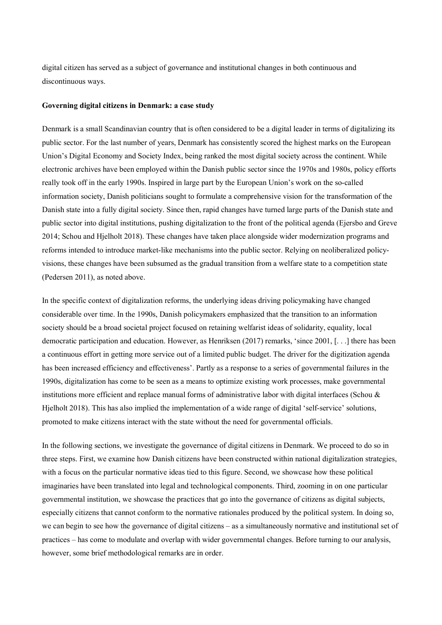digital citizen has served as a subject of governance and institutional changes in both continuous and discontinuous ways.

## **Governing digital citizens in Denmark: a case study**

Denmark is a small Scandinavian country that is often considered to be a digital leader in terms of digitalizing its public sector. For the last number of years, Denmark has consistently scored the highest marks on the European Union's Digital Economy and Society Index, being ranked the most digital society across the continent. While electronic archives have been employed within the Danish public sector since the 1970s and 1980s, policy efforts really took off in the early 1990s. Inspired in large part by the European Union's work on the so-called information society, Danish politicians sought to formulate a comprehensive vision for the transformation of the Danish state into a fully digital society. Since then, rapid changes have turned large parts of the Danish state and public sector into digital institutions, pushing digitalization to the front of the political agenda (Ejersbo and Greve 2014; Schou and Hjelholt 2018). These changes have taken place alongside wider modernization programs and reforms intended to introduce market-like mechanisms into the public sector. Relying on neoliberalized policyvisions, these changes have been subsumed as the gradual transition from a welfare state to a competition state (Pedersen 2011), as noted above.

In the specific context of digitalization reforms, the underlying ideas driving policymaking have changed considerable over time. In the 1990s, Danish policymakers emphasized that the transition to an information society should be a broad societal project focused on retaining welfarist ideas of solidarity, equality, local democratic participation and education. However, as Henriksen (2017) remarks, 'since 2001, [. . .] there has been a continuous effort in getting more service out of a limited public budget. The driver for the digitization agenda has been increased efficiency and effectiveness'. Partly as a response to a series of governmental failures in the 1990s, digitalization has come to be seen as a means to optimize existing work processes, make governmental institutions more efficient and replace manual forms of administrative labor with digital interfaces (Schou & Hjelholt 2018). This has also implied the implementation of a wide range of digital 'self-service' solutions, promoted to make citizens interact with the state without the need for governmental officials.

In the following sections, we investigate the governance of digital citizens in Denmark. We proceed to do so in three steps. First, we examine how Danish citizens have been constructed within national digitalization strategies, with a focus on the particular normative ideas tied to this figure. Second, we showcase how these political imaginaries have been translated into legal and technological components. Third, zooming in on one particular governmental institution, we showcase the practices that go into the governance of citizens as digital subjects, especially citizens that cannot conform to the normative rationales produced by the political system. In doing so, we can begin to see how the governance of digital citizens – as a simultaneously normative and institutional set of practices – has come to modulate and overlap with wider governmental changes. Before turning to our analysis, however, some brief methodological remarks are in order.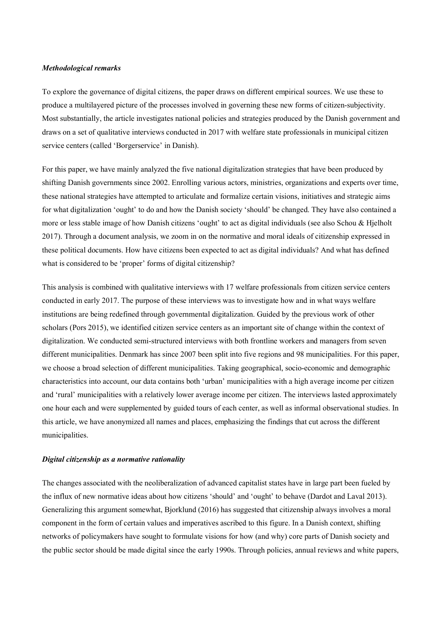# *Methodological remarks*

To explore the governance of digital citizens, the paper draws on different empirical sources. We use these to produce a multilayered picture of the processes involved in governing these new forms of citizen-subjectivity. Most substantially, the article investigates national policies and strategies produced by the Danish government and draws on a set of qualitative interviews conducted in 2017 with welfare state professionals in municipal citizen service centers (called 'Borgerservice' in Danish).

For this paper, we have mainly analyzed the five national digitalization strategies that have been produced by shifting Danish governments since 2002. Enrolling various actors, ministries, organizations and experts over time, these national strategies have attempted to articulate and formalize certain visions, initiatives and strategic aims for what digitalization 'ought' to do and how the Danish society 'should' be changed. They have also contained a more or less stable image of how Danish citizens 'ought' to act as digital individuals (see also Schou & Hjelholt 2017). Through a document analysis, we zoom in on the normative and moral ideals of citizenship expressed in these political documents. How have citizens been expected to act as digital individuals? And what has defined what is considered to be 'proper' forms of digital citizenship?

This analysis is combined with qualitative interviews with 17 welfare professionals from citizen service centers conducted in early 2017. The purpose of these interviews was to investigate how and in what ways welfare institutions are being redefined through governmental digitalization. Guided by the previous work of other scholars (Pors 2015), we identified citizen service centers as an important site of change within the context of digitalization. We conducted semi-structured interviews with both frontline workers and managers from seven different municipalities. Denmark has since 2007 been split into five regions and 98 municipalities. For this paper, we choose a broad selection of different municipalities. Taking geographical, socio-economic and demographic characteristics into account, our data contains both 'urban' municipalities with a high average income per citizen and 'rural' municipalities with a relatively lower average income per citizen. The interviews lasted approximately one hour each and were supplemented by guided tours of each center, as well as informal observational studies. In this article, we have anonymized all names and places, emphasizing the findings that cut across the different municipalities.

## *Digital citizenship as a normative rationality*

The changes associated with the neoliberalization of advanced capitalist states have in large part been fueled by the influx of new normative ideas about how citizens 'should' and 'ought' to behave (Dardot and Laval 2013). Generalizing this argument somewhat, Bjorklund (2016) has suggested that citizenship always involves a moral component in the form of certain values and imperatives ascribed to this figure. In a Danish context, shifting networks of policymakers have sought to formulate visions for how (and why) core parts of Danish society and the public sector should be made digital since the early 1990s. Through policies, annual reviews and white papers,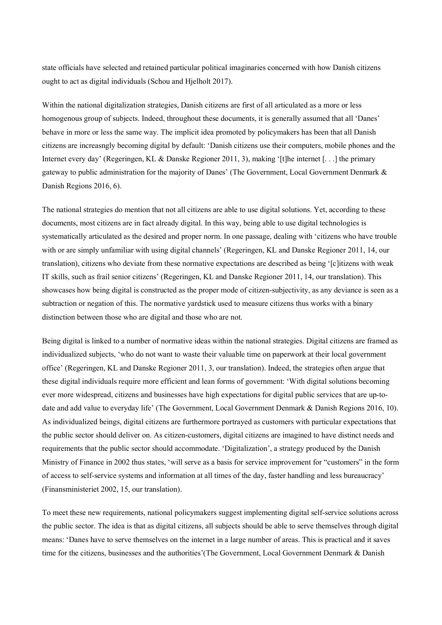state officials have selected and retained particular political imaginaries concerned with how Danish citizens ought to act as digital individuals (Schou and Hjelholt 2017).

Within the national digitalization strategies, Danish citizens are first of all articulated as a more or less homogenous group of subjects. Indeed, throughout these documents, it is generally assumed that all 'Danes' behave in more or less the same way. The implicit idea promoted by policymakers has been that all Danish citizens are increasngly becoming digital by default: 'Danish citizens use their computers, mobile phones and the Internet every day' (Regeringen, KL & Danske Regioner 2011, 3), making '[t]he internet [...] the primary gateway to public administration for the majority of Danes' (The Government, Local Government Denmark & Danish Regions 2016, 6).

The national strategies do mention that not all citizens are able to use digital solutions. Yet, according to these documents, most citizens are in fact already digital. In this way, being able to use digital technologies is systematically articulated as the desired and proper norm. In one passage, dealing with 'citizens who have trouble with or are simply unfamiliar with using digital channels' (Regeringen, KL and Danske Regioner 2011, 14, our translation), citizens who deviate from these normative expectations are described as being '[c]itizens with weak IT skills, such as frail senior citizens' (Regeringen, KL and Danske Regioner 2011, 14, our translation). This showcases how being digital is constructed as the proper mode of citizen-subjectivity, as any deviance is seen as a subtraction or negation of this. The normative yardstick used to measure citizens thus works with a binary distinction between those who are digital and those who are not.

Being digital is linked to a number of normative ideas within the national strategies. Digital citizens are framed as individualized subjects, 'who do not want to waste their valuable time on paperwork at their local government office' (Regeringen, KL and Danske Regioner 2011, 3, our translation). Indeed, the strategies often argue that these digital individuals require more efficient and lean forms of government: 'With digital solutions becoming ever more widespread, citizens and businesses have high expectations for digital public services that are up-todate and add value to everyday life' (The Government, Local Government Denmark & Danish Regions 2016, 10). As individualized beings, digital citizens are furthermore portrayed as customers with particular expectations that the public sector should deliver on. As citizen-customers, digital citizens are imagined to have distinct needs and requirements that the public sector should accommodate. 'Digitalization', a strategy produced by the Danish Ministry of Finance in 2002 thus states, 'will serve as a basis for service improvement for "customers" in the form of access to self-service systems and information at all times of the day, faster handling and less bureaucracy' (Finansministeriet 2002, 15, our translation).

To meet these new requirements, national policymakers suggest implementing digital self-service solutions across the public sector. The idea is that as digital citizens, all subjects should be able to serve themselves through digital means: 'Danes have to serve themselves on the internet in a large number of areas. This is practical and it saves time for the citizens, businesses and the authorities'(The Government, Local Government Denmark & Danish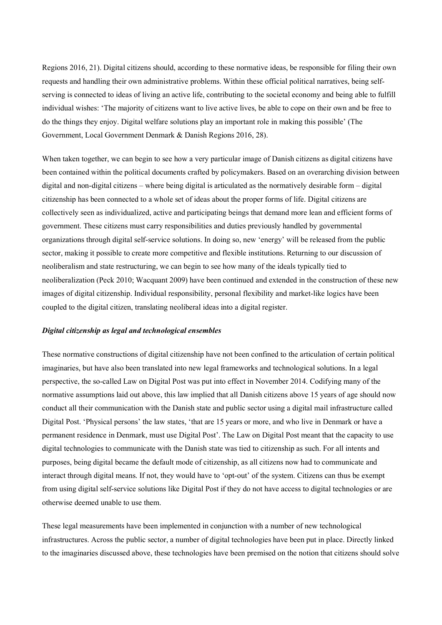Regions 2016, 21). Digital citizens should, according to these normative ideas, be responsible for filing their own requests and handling their own administrative problems. Within these official political narratives, being selfserving is connected to ideas of living an active life, contributing to the societal economy and being able to fulfill individual wishes: 'The majority of citizens want to live active lives, be able to cope on their own and be free to do the things they enjoy. Digital welfare solutions play an important role in making this possible' (The Government, Local Government Denmark & Danish Regions 2016, 28).

When taken together, we can begin to see how a very particular image of Danish citizens as digital citizens have been contained within the political documents crafted by policymakers. Based on an overarching division between digital and non-digital citizens – where being digital is articulated as the normatively desirable form – digital citizenship has been connected to a whole set of ideas about the proper forms of life. Digital citizens are collectively seen as individualized, active and participating beings that demand more lean and efficient forms of government. These citizens must carry responsibilities and duties previously handled by governmental organizations through digital self-service solutions. In doing so, new 'energy' will be released from the public sector, making it possible to create more competitive and flexible institutions. Returning to our discussion of neoliberalism and state restructuring, we can begin to see how many of the ideals typically tied to neoliberalization (Peck 2010; Wacquant 2009) have been continued and extended in the construction of these new images of digital citizenship. Individual responsibility, personal flexibility and market-like logics have been coupled to the digital citizen, translating neoliberal ideas into a digital register.

## *Digital citizenship as legal and technological ensembles*

These normative constructions of digital citizenship have not been confined to the articulation of certain political imaginaries, but have also been translated into new legal frameworks and technological solutions. In a legal perspective, the so-called Law on Digital Post was put into effect in November 2014. Codifying many of the normative assumptions laid out above, this law implied that all Danish citizens above 15 years of age should now conduct all their communication with the Danish state and public sector using a digital mail infrastructure called Digital Post. 'Physical persons' the law states, 'that are 15 years or more, and who live in Denmark or have a permanent residence in Denmark, must use Digital Post'. The Law on Digital Post meant that the capacity to use digital technologies to communicate with the Danish state was tied to citizenship as such. For all intents and purposes, being digital became the default mode of citizenship, as all citizens now had to communicate and interact through digital means. If not, they would have to 'opt-out' of the system. Citizens can thus be exempt from using digital self-service solutions like Digital Post if they do not have access to digital technologies or are otherwise deemed unable to use them.

These legal measurements have been implemented in conjunction with a number of new technological infrastructures. Across the public sector, a number of digital technologies have been put in place. Directly linked to the imaginaries discussed above, these technologies have been premised on the notion that citizens should solve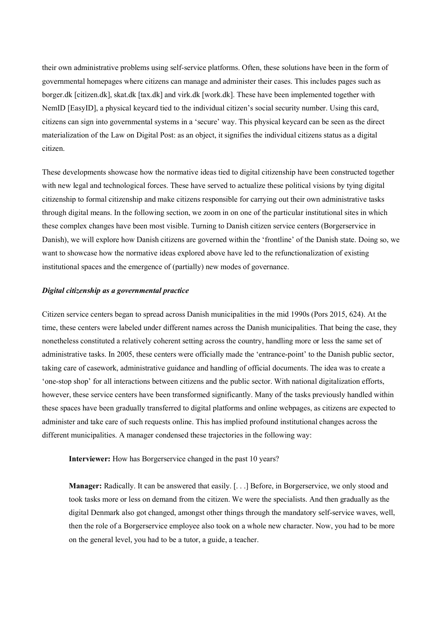their own administrative problems using self-service platforms. Often, these solutions have been in the form of governmental homepages where citizens can manage and administer their cases. This includes pages such as borger.dk [citizen.dk], skat.dk [tax.dk] and virk.dk [work.dk]. These have been implemented together with NemID [EasyID], a physical keycard tied to the individual citizen's social security number. Using this card, citizens can sign into governmental systems in a 'secure' way. This physical keycard can be seen as the direct materialization of the Law on Digital Post: as an object, it signifies the individual citizens status as a digital citizen.

These developments showcase how the normative ideas tied to digital citizenship have been constructed together with new legal and technological forces. These have served to actualize these political visions by tying digital citizenship to formal citizenship and make citizens responsible for carrying out their own administrative tasks through digital means. In the following section, we zoom in on one of the particular institutional sites in which these complex changes have been most visible. Turning to Danish citizen service centers (Borgerservice in Danish), we will explore how Danish citizens are governed within the 'frontline' of the Danish state. Doing so, we want to showcase how the normative ideas explored above have led to the refunctionalization of existing institutional spaces and the emergence of (partially) new modes of governance.

## *Digital citizenship as a governmental practice*

Citizen service centers began to spread across Danish municipalities in the mid 1990s (Pors 2015, 624). At the time, these centers were labeled under different names across the Danish municipalities. That being the case, they nonetheless constituted a relatively coherent setting across the country, handling more or less the same set of administrative tasks. In 2005, these centers were officially made the 'entrance-point' to the Danish public sector, taking care of casework, administrative guidance and handling of official documents. The idea was to create a 'one-stop shop' for all interactions between citizens and the public sector. With national digitalization efforts, however, these service centers have been transformed significantly. Many of the tasks previously handled within these spaces have been gradually transferred to digital platforms and online webpages, as citizens are expected to administer and take care of such requests online. This has implied profound institutional changes across the different municipalities. A manager condensed these trajectories in the following way:

**Interviewer:** How has Borgerservice changed in the past 10 years?

**Manager:** Radically. It can be answered that easily. [. . .] Before, in Borgerservice, we only stood and took tasks more or less on demand from the citizen. We were the specialists. And then gradually as the digital Denmark also got changed, amongst other things through the mandatory self-service waves, well, then the role of a Borgerservice employee also took on a whole new character. Now, you had to be more on the general level, you had to be a tutor, a guide, a teacher.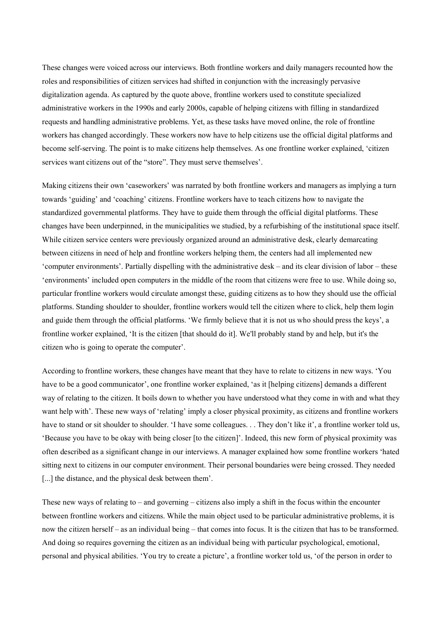These changes were voiced across our interviews. Both frontline workers and daily managers recounted how the roles and responsibilities of citizen services had shifted in conjunction with the increasingly pervasive digitalization agenda. As captured by the quote above, frontline workers used to constitute specialized administrative workers in the 1990s and early 2000s, capable of helping citizens with filling in standardized requests and handling administrative problems. Yet, as these tasks have moved online, the role of frontline workers has changed accordingly. These workers now have to help citizens use the official digital platforms and become self-serving. The point is to make citizens help themselves. As one frontline worker explained, 'citizen services want citizens out of the "store". They must serve themselves'.

Making citizens their own 'caseworkers' was narrated by both frontline workers and managers as implying a turn towards 'guiding' and 'coaching' citizens. Frontline workers have to teach citizens how to navigate the standardized governmental platforms. They have to guide them through the official digital platforms. These changes have been underpinned, in the municipalities we studied, by a refurbishing of the institutional space itself. While citizen service centers were previously organized around an administrative desk, clearly demarcating between citizens in need of help and frontline workers helping them, the centers had all implemented new 'computer environments'. Partially dispelling with the administrative desk – and its clear division of labor – these 'environments' included open computers in the middle of the room that citizens were free to use. While doing so, particular frontline workers would circulate amongst these, guiding citizens as to how they should use the official platforms. Standing shoulder to shoulder, frontline workers would tell the citizen where to click, help them login and guide them through the official platforms. 'We firmly believe that it is not us who should press the keys', a frontline worker explained, 'It is the citizen [that should do it]. We'll probably stand by and help, but it's the citizen who is going to operate the computer'.

According to frontline workers, these changes have meant that they have to relate to citizens in new ways. 'You have to be a good communicator', one frontline worker explained, 'as it [helping citizens] demands a different way of relating to the citizen. It boils down to whether you have understood what they come in with and what they want help with'. These new ways of 'relating' imply a closer physical proximity, as citizens and frontline workers have to stand or sit shoulder to shoulder. 'I have some colleagues... They don't like it', a frontline worker told us, 'Because you have to be okay with being closer [to the citizen]'. Indeed, this new form of physical proximity was often described as a significant change in our interviews. A manager explained how some frontline workers 'hated sitting next to citizens in our computer environment. Their personal boundaries were being crossed. They needed [...] the distance, and the physical desk between them'.

These new ways of relating to – and governing – citizens also imply a shift in the focus within the encounter between frontline workers and citizens. While the main object used to be particular administrative problems, it is now the citizen herself – as an individual being – that comes into focus. It is the citizen that has to be transformed. And doing so requires governing the citizen as an individual being with particular psychological, emotional, personal and physical abilities. 'You try to create a picture', a frontline worker told us, 'of the person in order to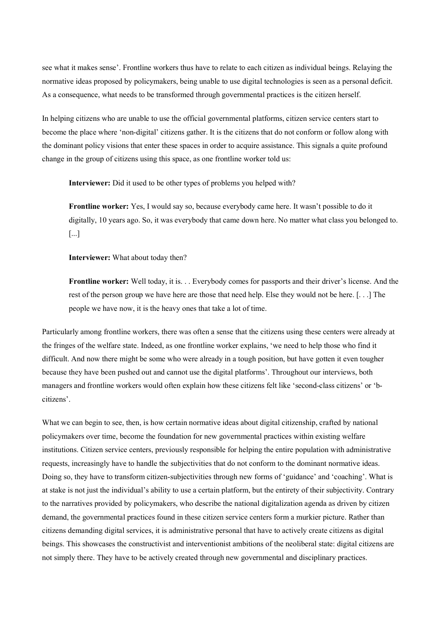see what it makes sense'. Frontline workers thus have to relate to each citizen as individual beings. Relaying the normative ideas proposed by policymakers, being unable to use digital technologies is seen as a personal deficit. As a consequence, what needs to be transformed through governmental practices is the citizen herself.

In helping citizens who are unable to use the official governmental platforms, citizen service centers start to become the place where 'non-digital' citizens gather. It is the citizens that do not conform or follow along with the dominant policy visions that enter these spaces in order to acquire assistance. This signals a quite profound change in the group of citizens using this space, as one frontline worker told us:

**Interviewer:** Did it used to be other types of problems you helped with?

**Frontline worker:** Yes, I would say so, because everybody came here. It wasn't possible to do it digitally, 10 years ago. So, it was everybody that came down here. No matter what class you belonged to. [...]

**Interviewer:** What about today then?

**Frontline worker:** Well today, it is. . . Everybody comes for passports and their driver's license. And the rest of the person group we have here are those that need help. Else they would not be here. [. . .] The people we have now, it is the heavy ones that take a lot of time.

Particularly among frontline workers, there was often a sense that the citizens using these centers were already at the fringes of the welfare state. Indeed, as one frontline worker explains, 'we need to help those who find it difficult. And now there might be some who were already in a tough position, but have gotten it even tougher because they have been pushed out and cannot use the digital platforms'. Throughout our interviews, both managers and frontline workers would often explain how these citizens felt like 'second-class citizens' or 'bcitizens'.

What we can begin to see, then, is how certain normative ideas about digital citizenship, crafted by national policymakers over time, become the foundation for new governmental practices within existing welfare institutions. Citizen service centers, previously responsible for helping the entire population with administrative requests, increasingly have to handle the subjectivities that do not conform to the dominant normative ideas. Doing so, they have to transform citizen-subjectivities through new forms of 'guidance' and 'coaching'. What is at stake is not just the individual's ability to use a certain platform, but the entirety of their subjectivity. Contrary to the narratives provided by policymakers, who describe the national digitalization agenda as driven by citizen demand, the governmental practices found in these citizen service centers form a murkier picture. Rather than citizens demanding digital services, it is administrative personal that have to actively create citizens as digital beings. This showcases the constructivist and interventionist ambitions of the neoliberal state: digital citizens are not simply there. They have to be actively created through new governmental and disciplinary practices.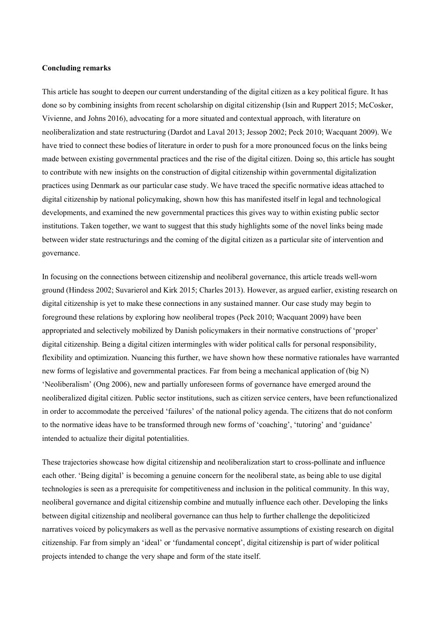# **Concluding remarks**

This article has sought to deepen our current understanding of the digital citizen as a key political figure. It has done so by combining insights from recent scholarship on digital citizenship (Isin and Ruppert 2015; McCosker, Vivienne, and Johns 2016), advocating for a more situated and contextual approach, with literature on neoliberalization and state restructuring (Dardot and Laval 2013; Jessop 2002; Peck 2010; Wacquant 2009). We have tried to connect these bodies of literature in order to push for a more pronounced focus on the links being made between existing governmental practices and the rise of the digital citizen. Doing so, this article has sought to contribute with new insights on the construction of digital citizenship within governmental digitalization practices using Denmark as our particular case study. We have traced the specific normative ideas attached to digital citizenship by national policymaking, shown how this has manifested itself in legal and technological developments, and examined the new governmental practices this gives way to within existing public sector institutions. Taken together, we want to suggest that this study highlights some of the novel links being made between wider state restructurings and the coming of the digital citizen as a particular site of intervention and governance.

In focusing on the connections between citizenship and neoliberal governance, this article treads well-worn ground (Hindess 2002; Suvarierol and Kirk 2015; Charles 2013). However, as argued earlier, existing research on digital citizenship is yet to make these connections in any sustained manner. Our case study may begin to foreground these relations by exploring how neoliberal tropes (Peck 2010; Wacquant 2009) have been appropriated and selectively mobilized by Danish policymakers in their normative constructions of 'proper' digital citizenship. Being a digital citizen intermingles with wider political calls for personal responsibility, flexibility and optimization. Nuancing this further, we have shown how these normative rationales have warranted new forms of legislative and governmental practices. Far from being a mechanical application of (big N) 'Neoliberalism' (Ong 2006), new and partially unforeseen forms of governance have emerged around the neoliberalized digital citizen. Public sector institutions, such as citizen service centers, have been refunctionalized in order to accommodate the perceived 'failures' of the national policy agenda. The citizens that do not conform to the normative ideas have to be transformed through new forms of 'coaching', 'tutoring' and 'guidance' intended to actualize their digital potentialities.

These trajectories showcase how digital citizenship and neoliberalization start to cross-pollinate and influence each other. 'Being digital' is becoming a genuine concern for the neoliberal state, as being able to use digital technologies is seen as a prerequisite for competitiveness and inclusion in the political community. In this way, neoliberal governance and digital citizenship combine and mutually influence each other. Developing the links between digital citizenship and neoliberal governance can thus help to further challenge the depoliticized narratives voiced by policymakers as well as the pervasive normative assumptions of existing research on digital citizenship. Far from simply an 'ideal' or 'fundamental concept', digital citizenship is part of wider political projects intended to change the very shape and form of the state itself.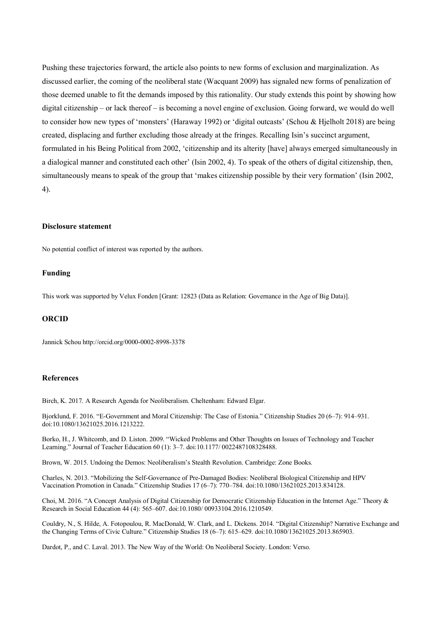Pushing these trajectories forward, the article also points to new forms of exclusion and marginalization. As discussed earlier, the coming of the neoliberal state (Wacquant 2009) has signaled new forms of penalization of those deemed unable to fit the demands imposed by this rationality. Our study extends this point by showing how digital citizenship – or lack thereof – is becoming a novel engine of exclusion. Going forward, we would do well to consider how new types of 'monsters' (Haraway 1992) or 'digital outcasts' (Schou & Hjelholt 2018) are being created, displacing and further excluding those already at the fringes. Recalling Isin's succinct argument, formulated in his Being Political from 2002, 'citizenship and its alterity [have] always emerged simultaneously in a dialogical manner and constituted each other' (Isin 2002, 4). To speak of the others of digital citizenship, then, simultaneously means to speak of the group that 'makes citizenship possible by their very formation' (Isin 2002, 4).

#### **Disclosure statement**

No potential conflict of interest was reported by the authors.

# **Funding**

This work was supported by Velux Fonden [Grant: 12823 (Data as Relation: Governance in the Age of Big Data)].

## **ORCID**

Jannick Schou http://orcid.org/0000-0002-8998-3378

#### **References**

Birch, K. 2017. A Research Agenda for Neoliberalism. Cheltenham: Edward Elgar.

Bjorklund, F. 2016. "E-Government and Moral Citizenship: The Case of Estonia." Citizenship Studies 20 (6–7): 914–931. doi:10.1080/13621025.2016.1213222.

Borko, H., J. Whitcomb, and D. Liston. 2009. "Wicked Problems and Other Thoughts on Issues of Technology and Teacher Learning." Journal of Teacher Education 60 (1): 3–7. doi:10.1177/ 0022487108328488.

Brown, W. 2015. Undoing the Demos: Neoliberalism's Stealth Revolution. Cambridge: Zone Books.

Charles, N. 2013. "Mobilizing the Self-Governance of Pre-Damaged Bodies: Neoliberal Biological Citizenship and HPV Vaccination Promotion in Canada." Citizenship Studies 17 (6–7): 770–784. doi:10.1080/13621025.2013.834128.

Choi, M. 2016. "A Concept Analysis of Digital Citizenship for Democratic Citizenship Education in the Internet Age." Theory & Research in Social Education 44 (4): 565–607. doi:10.1080/ 00933104.2016.1210549.

Couldry, N., S. Hilde, A. Fotopoulou, R. MacDonald, W. Clark, and L. Dickens. 2014. "Digital Citizenship? Narrative Exchange and the Changing Terms of Civic Culture." Citizenship Studies 18 (6–7): 615–629. doi:10.1080/13621025.2013.865903.

Dardot, P., and C. Laval. 2013. The New Way of the World: On Neoliberal Society. London: Verso.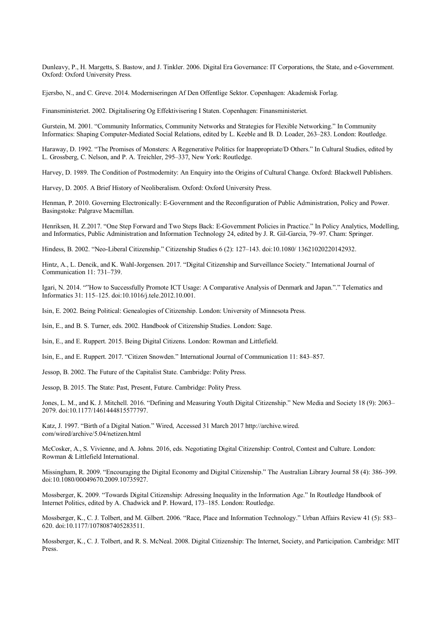Dunleavy, P., H. Margetts, S. Bastow, and J. Tinkler. 2006. Digital Era Governance: IT Corporations, the State, and e-Government. Oxford: Oxford University Press.

Ejersbo, N., and C. Greve. 2014. Moderniseringen Af Den Offentlige Sektor. Copenhagen: Akademisk Forlag.

Finansministeriet. 2002. Digitalisering Og Effektivisering I Staten. Copenhagen: Finansministeriet.

Gurstein, M. 2001. "Community Informatics, Community Networks and Strategies for Flexible Networking." In Community Informatics: Shaping Computer-Mediated Social Relations, edited by L. Keeble and B. D. Loader, 263–283. London: Routledge.

Haraway, D. 1992. "The Promises of Monsters: A Regenerative Politics for Inappropriate/D Others." In Cultural Studies, edited by L. Grossberg, C. Nelson, and P. A. Treichler, 295–337, New York: Routledge.

Harvey, D. 1989. The Condition of Postmodernity: An Enquiry into the Origins of Cultural Change. Oxford: Blackwell Publishers.

Harvey, D. 2005. A Brief History of Neoliberalism. Oxford: Oxford University Press.

Henman, P. 2010. Governing Electronically: E-Government and the Reconfiguration of Public Administration, Policy and Power. Basingstoke: Palgrave Macmillan.

Henriksen, H. Z.2017. "One Step Forward and Two Steps Back: E-Government Policies in Practice." In Policy Analytics, Modelling, and Informatics, Public Administration and Information Technology 24, edited by J. R. Gil-Garcia, 79–97. Cham: Springer.

Hindess, B. 2002. "Neo-Liberal Citizenship." Citizenship Studies 6 (2): 127–143. doi:10.1080/ 13621020220142932.

Hintz, A., L. Dencik, and K. Wahl-Jorgensen. 2017. "Digital Citizenship and Surveillance Society." International Journal of Communication 11: 731–739.

Igari, N. 2014. ""How to Successfully Promote ICT Usage: A Comparative Analysis of Denmark and Japan."." Telematics and Informatics 31: 115–125. doi:10.1016/j.tele.2012.10.001.

Isin, E. 2002. Being Political: Genealogies of Citizenship. London: University of Minnesota Press.

Isin, E., and B. S. Turner, eds. 2002. Handbook of Citizenship Studies. London: Sage.

Isin, E., and E. Ruppert. 2015. Being Digital Citizens. London: Rowman and Littlefield.

Isin, E., and E. Ruppert. 2017. "Citizen Snowden." International Journal of Communication 11: 843–857.

Jessop, B. 2002. The Future of the Capitalist State. Cambridge: Polity Press.

Jessop, B. 2015. The State: Past, Present, Future. Cambridge: Polity Press.

Jones, L. M., and K. J. Mitchell. 2016. "Defining and Measuring Youth Digital Citizenship." New Media and Society 18 (9): 2063– 2079. doi:10.1177/1461444815577797.

Katz, J. 1997. "Birth of a Digital Nation." Wired, Accessed 31 March 2017 http://archive.wired. com/wired/archive/5.04/netizen.html

McCosker, A., S. Vivienne, and A. Johns. 2016, eds. Negotiating Digital Citizenship: Control, Contest and Culture. London: Rowman & Littlefield International.

Missingham, R. 2009. "Encouraging the Digital Economy and Digital Citizenship." The Australian Library Journal 58 (4): 386–399. doi:10.1080/00049670.2009.10735927.

Mossberger, K. 2009. "Towards Digital Citizenship: Adressing Inequality in the Information Age." In Routledge Handbook of Internet Politics, edited by A. Chadwick and P. Howard, 173–185. London: Routledge.

Mossberger, K., C. J. Tolbert, and M. Gilbert. 2006. "Race, Place and Information Technology." Urban Affairs Review 41 (5): 583– 620. doi:10.1177/1078087405283511.

Mossberger, K., C. J. Tolbert, and R. S. McNeal. 2008. Digital Citizenship: The Internet, Society, and Participation. Cambridge: MIT Press.